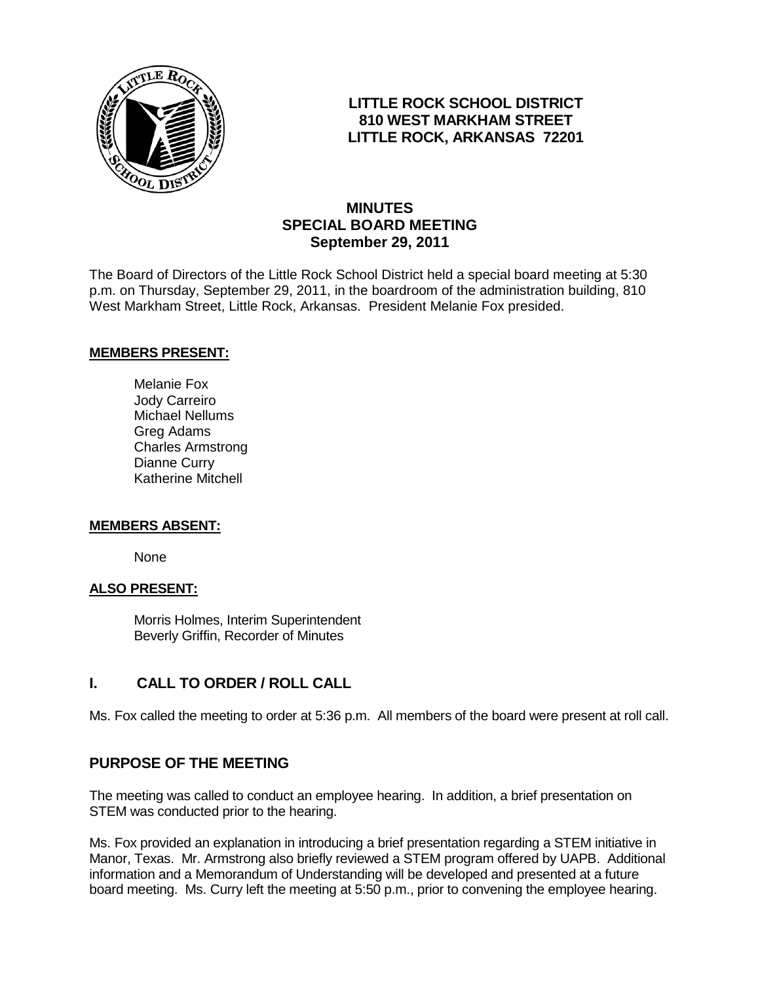

## **LITTLE ROCK SCHOOL DISTRICT 810 WEST MARKHAM STREET LITTLE ROCK, ARKANSAS 72201**

# **MINUTES SPECIAL BOARD MEETING September 29, 2011**

The Board of Directors of the Little Rock School District held a special board meeting at 5:30 p.m. on Thursday, September 29, 2011, in the boardroom of the administration building, 810 West Markham Street, Little Rock, Arkansas. President Melanie Fox presided.

### **MEMBERS PRESENT:**

Melanie Fox Jody Carreiro Michael Nellums Greg Adams Charles Armstrong Dianne Curry Katherine Mitchell

#### **MEMBERS ABSENT:**

None

#### **ALSO PRESENT:**

 Morris Holmes, Interim Superintendent Beverly Griffin, Recorder of Minutes

# **I. CALL TO ORDER / ROLL CALL**

Ms. Fox called the meeting to order at 5:36 p.m. All members of the board were present at roll call.

## **PURPOSE OF THE MEETING**

The meeting was called to conduct an employee hearing. In addition, a brief presentation on STEM was conducted prior to the hearing.

Ms. Fox provided an explanation in introducing a brief presentation regarding a STEM initiative in Manor, Texas. Mr. Armstrong also briefly reviewed a STEM program offered by UAPB. Additional information and a Memorandum of Understanding will be developed and presented at a future board meeting. Ms. Curry left the meeting at 5:50 p.m., prior to convening the employee hearing.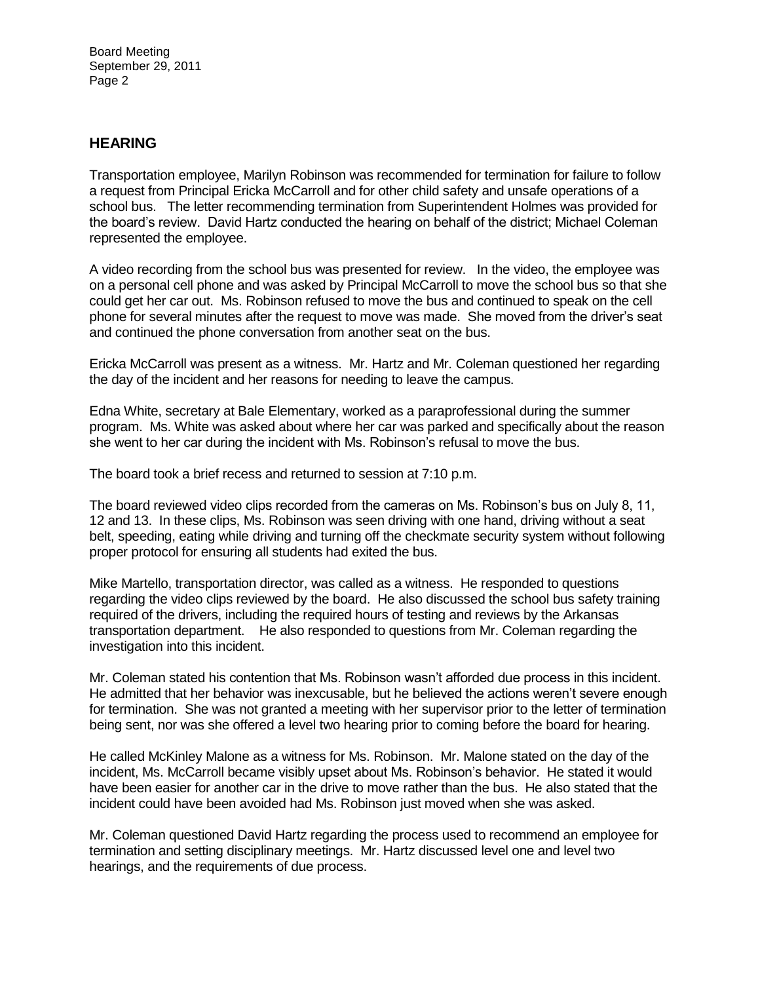Board Meeting September 29, 2011 Page 2

### **HEARING**

Transportation employee, Marilyn Robinson was recommended for termination for failure to follow a request from Principal Ericka McCarroll and for other child safety and unsafe operations of a school bus. The letter recommending termination from Superintendent Holmes was provided for the board's review. David Hartz conducted the hearing on behalf of the district; Michael Coleman represented the employee.

A video recording from the school bus was presented for review. In the video, the employee was on a personal cell phone and was asked by Principal McCarroll to move the school bus so that she could get her car out. Ms. Robinson refused to move the bus and continued to speak on the cell phone for several minutes after the request to move was made. She moved from the driver's seat and continued the phone conversation from another seat on the bus.

Ericka McCarroll was present as a witness. Mr. Hartz and Mr. Coleman questioned her regarding the day of the incident and her reasons for needing to leave the campus.

Edna White, secretary at Bale Elementary, worked as a paraprofessional during the summer program. Ms. White was asked about where her car was parked and specifically about the reason she went to her car during the incident with Ms. Robinson's refusal to move the bus.

The board took a brief recess and returned to session at 7:10 p.m.

The board reviewed video clips recorded from the cameras on Ms. Robinson's bus on July 8, 11, 12 and 13. In these clips, Ms. Robinson was seen driving with one hand, driving without a seat belt, speeding, eating while driving and turning off the checkmate security system without following proper protocol for ensuring all students had exited the bus.

Mike Martello, transportation director, was called as a witness. He responded to questions regarding the video clips reviewed by the board. He also discussed the school bus safety training required of the drivers, including the required hours of testing and reviews by the Arkansas transportation department. He also responded to questions from Mr. Coleman regarding the investigation into this incident.

Mr. Coleman stated his contention that Ms. Robinson wasn't afforded due process in this incident. He admitted that her behavior was inexcusable, but he believed the actions weren't severe enough for termination. She was not granted a meeting with her supervisor prior to the letter of termination being sent, nor was she offered a level two hearing prior to coming before the board for hearing.

He called McKinley Malone as a witness for Ms. Robinson. Mr. Malone stated on the day of the incident, Ms. McCarroll became visibly upset about Ms. Robinson's behavior. He stated it would have been easier for another car in the drive to move rather than the bus. He also stated that the incident could have been avoided had Ms. Robinson just moved when she was asked.

Mr. Coleman questioned David Hartz regarding the process used to recommend an employee for termination and setting disciplinary meetings. Mr. Hartz discussed level one and level two hearings, and the requirements of due process.